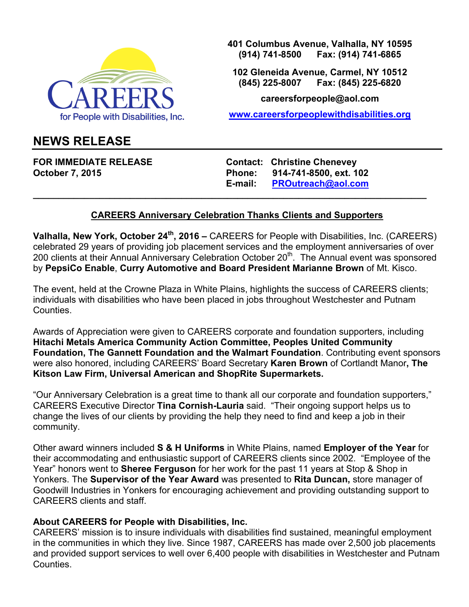

**401 Columbus Avenue, Valhalla, NY 10595 (914) 741-8500 Fax: (914) 741-6865**

**102 Gleneida Avenue, Carmel, NY 10512 (845) 225-8007 Fax: (845) 225-6820**

**careersforpeople@aol.com**

**www.careersforpeoplewithdisabilities.org**

## **NEWS RELEASE**

**FOR IMMEDIATE RELEASE Contact: Christine Chenevey October 7, 2015 Phone: 914-741-8500, ext. 102 E-mail: PROutreach@aol.com**

## **CAREERS Anniversary Celebration Thanks Clients and Supporters**

**\_\_\_\_\_\_\_\_\_\_\_\_\_\_\_\_\_\_\_\_\_\_\_\_\_\_\_\_\_\_\_\_\_\_\_\_\_\_\_\_\_\_\_\_\_\_\_\_\_\_\_\_\_\_\_\_\_\_\_\_\_\_\_\_\_\_\_\_\_\_\_\_\_\_\_\_\_**

**Valhalla, New York, October 24th, 2016 –** CAREERS for People with Disabilities, Inc. (CAREERS) celebrated 29 years of providing job placement services and the employment anniversaries of over 200 clients at their Annual Anniversary Celebration October 20<sup>th</sup>. The Annual event was sponsored by **PepsiCo Enable**, **Curry Automotive and Board President Marianne Brown** of Mt. Kisco.

The event, held at the Crowne Plaza in White Plains, highlights the success of CAREERS clients; individuals with disabilities who have been placed in jobs throughout Westchester and Putnam **Counties** 

Awards of Appreciation were given to CAREERS corporate and foundation supporters, including **Hitachi Metals America Community Action Committee, Peoples United Community Foundation, The Gannett Foundation and the Walmart Foundation**. Contributing event sponsors were also honored, including CAREERS' Board Secretary **Karen Brown** of Cortlandt Manor**, The Kitson Law Firm, Universal American and ShopRite Supermarkets.**

"Our Anniversary Celebration is a great time to thank all our corporate and foundation supporters," CAREERS Executive Director **Tina Cornish-Lauria** said. "Their ongoing support helps us to change the lives of our clients by providing the help they need to find and keep a job in their community.

Other award winners included **S & H Uniforms** in White Plains, named **Employer of the Year** for their accommodating and enthusiastic support of CAREERS clients since 2002. "Employee of the Year" honors went to **Sheree Ferguson** for her work for the past 11 years at Stop & Shop in Yonkers. The **Supervisor of the Year Award** was presented to **Rita Duncan,** store manager of Goodwill Industries in Yonkers for encouraging achievement and providing outstanding support to CAREERS clients and staff.

## **About CAREERS for People with Disabilities, Inc.**

CAREERS' mission is to insure individuals with disabilities find sustained, meaningful employment in the communities in which they live. Since 1987, CAREERS has made over 2,500 job placements and provided support services to well over 6,400 people with disabilities in Westchester and Putnam Counties.